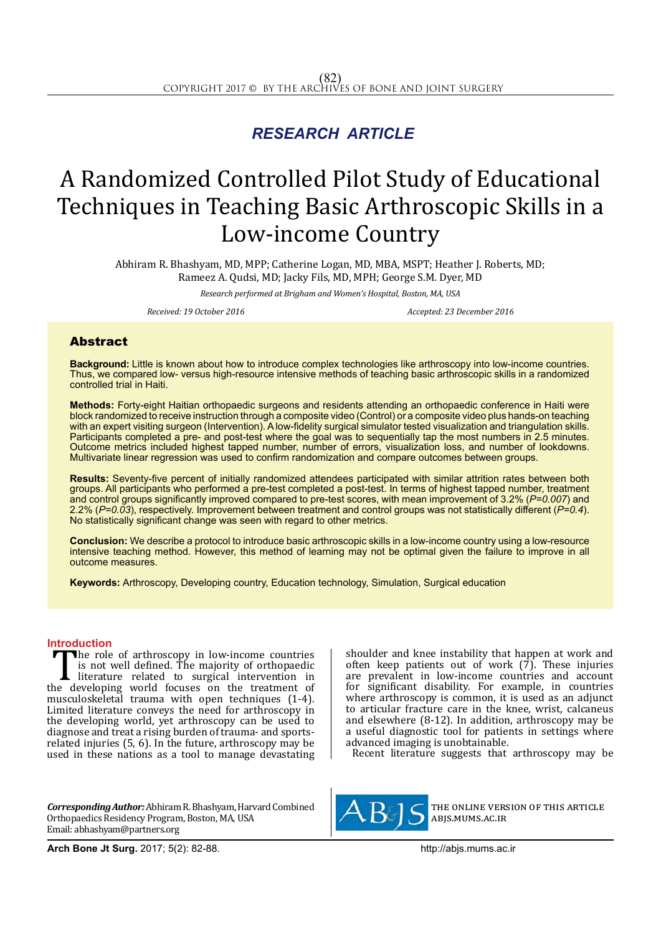## *RESEARCH ARTICLE*

# A Randomized Controlled Pilot Study of Educational Techniques in Teaching Basic Arthroscopic Skills in a Low-income Country

Abhiram R. Bhashyam, MD, MPP; Catherine Logan, MD, MBA, MSPT; Heather J. Roberts, MD; Rameez A. Qudsi, MD; Jacky Fils, MD, MPH; George S.M. Dyer, MD

*Research performed at Brigham and Women's Hospital, Boston, MA, USA*

*Received: 19 October 2016 Accepted: 23 December 2016*

### Abstract

**Background:** Little is known about how to introduce complex technologies like arthroscopy into low-income countries. Thus, we compared low- versus high-resource intensive methods of teaching basic arthroscopic skills in a randomized controlled trial in Haiti.

**Methods:** Forty-eight Haitian orthopaedic surgeons and residents attending an orthopaedic conference in Haiti were block randomized to receive instruction through a composite video (Control) or a composite video plus hands-on teaching with an expert visiting surgeon (Intervention). A low-fidelity surgical simulator tested visualization and triangulation skills. Participants completed a pre- and post-test where the goal was to sequentially tap the most numbers in 2.5 minutes. Outcome metrics included highest tapped number, number of errors, visualization loss, and number of lookdowns. Multivariate linear regression was used to confirm randomization and compare outcomes between groups.

**Results:** Seventy-five percent of initially randomized attendees participated with similar attrition rates between both groups. All participants who performed a pre-test completed a post-test. In terms of highest tapped number, treatment and control groups significantly improved compared to pre-test scores, with mean improvement of 3.2% (*P=0.007*) and 2.2% (*P=0.03*), respectively. Improvement between treatment and control groups was not statistically different (*P=0.4*). No statistically significant change was seen with regard to other metrics.

**Conclusion:** We describe a protocol to introduce basic arthroscopic skills in a low-income country using a low-resource intensive teaching method. However, this method of learning may not be optimal given the failure to improve in all outcome measures.

**Keywords:** Arthroscopy, Developing country, Education technology, Simulation, Surgical education

**Introduction**<br>**T** the role of arthroscopy in low-income countries The role of arthroscopy in low-income countries<br>is not well defined. The majority of orthopaedic<br>literature related to surgical intervention in<br>the developing world focuses on the treatment of<br>nusculoskeletal trauma with o is not well defined. The majority of orthopaedic literature related to surgical intervention in the developing world focuses on the treatment of musculoskeletal trauma with open techniques (1-4). Limited literature conveys the need for arthroscopy in the developing world, yet arthroscopy can be used to diagnose and treat a rising burden of trauma- and sportsrelated injuries (5, 6). In the future, arthroscopy may be used in these nations as a tool to manage devastating

*Corresponding Author:* Abhiram R. Bhashyam, Harvard Combined Orthopaedics Residency Program, Boston, MA, USA Email: abhashyam@partners.org

shoulder and knee instability that happen at work and often keep patients out of work  $(7)$ . These injuries are prevalent in low-income countries and account for significant disability. For example, in countries where arthroscopy is common, it is used as an adjunct to articular fracture care in the knee, wrist, calcaneus and elsewhere (8-12). In addition, arthroscopy may be a useful diagnostic tool for patients in settings where advanced imaging is unobtainable.

Recent literature suggests that arthroscopy may be



the online version of this article abjs.mums.ac.ir

**Arch Bone Jt Surg.** 2017; 5(2): 82-88.http://abjs.mums.ac.ir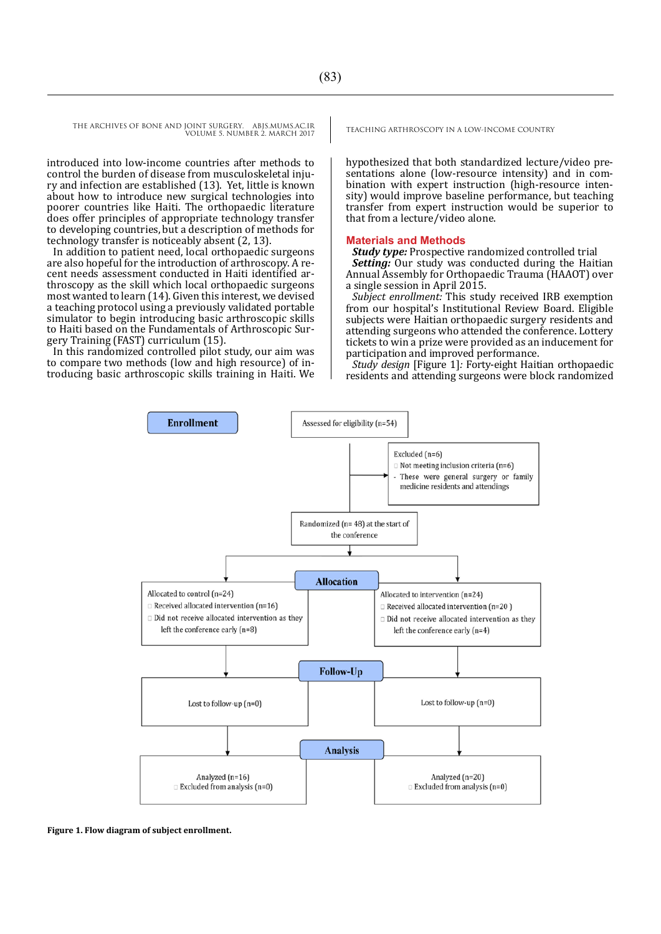THE ARCHIVES OF BONE AND JOINT SURGERY. ABJS.MUMS.AC.IR TEACHING ARTHROSCOPY IN A LOW-INCOME COUNTRY VOLUME 5. NUMBER 2. MARCH 2017

introduced into low-income countries after methods to control the burden of disease from musculoskeletal injury and infection are established (13). Yet, little is known about how to introduce new surgical technologies into poorer countries like Haiti. The orthopaedic literature does offer principles of appropriate technology transfer to developing countries,but a description of methods for technology transfer is noticeably absent (2, 13).

In addition to patient need, local orthopaedic surgeons are also hopeful for the introduction of arthroscopy. A recent needs assessment conducted in Haiti identified arthroscopy as the skill which local orthopaedic surgeons most wanted to learn (14). Given this interest, we devised a teaching protocol using a previously validated portable simulator to begin introducing basic arthroscopic skills to Haiti based on the Fundamentals of Arthroscopic Surgery Training (FAST) curriculum (15).

In this randomized controlled pilot study, our aim was to compare two methods (low and high resource) of introducing basic arthroscopic skills training in Haiti. We

hypothesized that both standardized lecture/video presentations alone (low-resource intensity) and in combination with expert instruction (high-resource intensity) would improve baseline performance, but teaching transfer from expert instruction would be superior to that from a lecture/video alone.

#### **Materials and Methods**

*Study type:* Prospective randomized controlled trial *Setting:* Our study was conducted during the Haitian Annual Assembly for Orthopaedic Trauma (HAAOT) over a single session in April 2015.

*Subject enrollment:* This study received IRB exemption from our hospital's Institutional Review Board. Eligible subjects were Haitian orthopaedic surgery residents and attending surgeons who attended the conference. Lottery tickets to win a prize were provided as an inducement for participation and improved performance.

*Study design* [Figure 1]*:* Forty-eight Haitian orthopaedic residents and attending surgeons were block randomized



**Figure 1. Flow diagram of subject enrollment.**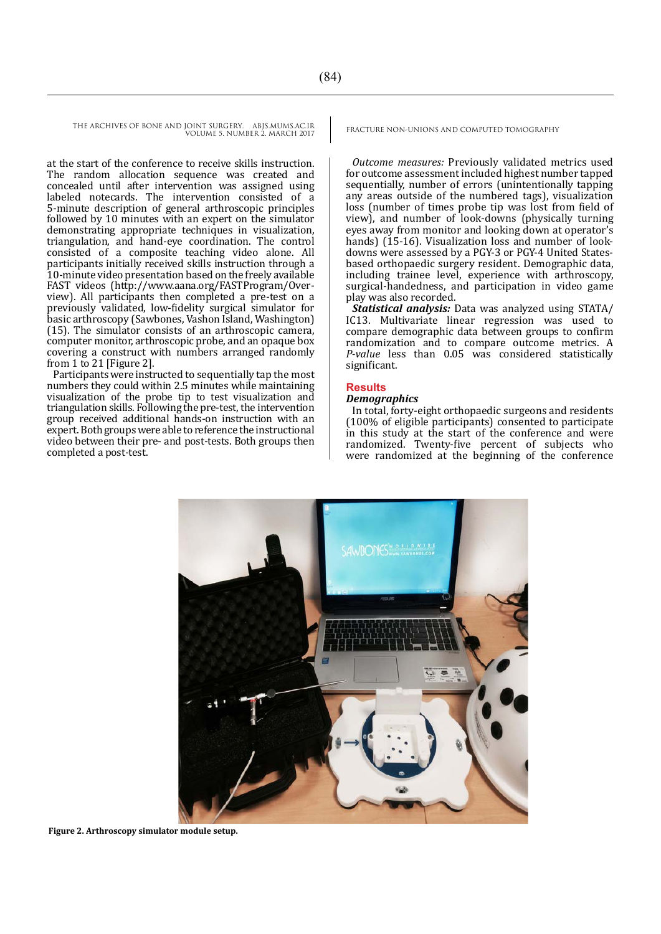THE ARCHIVES OF BONE AND JOINT SURGERY. ABJS.MUMS.AC.IR VOLUME 5. NUMBER 2. MARCH 2017

at the start of the conference to receive skills instruction. The random allocation sequence was created and concealed until after intervention was assigned using labeled notecards. The intervention consisted of a 5-minute description of general arthroscopic principles followed by 10 minutes with an expert on the simulator demonstrating appropriate techniques in visualization, triangulation, and hand-eye coordination. The control consisted of a composite teaching video alone. All participants initially received skills instruction through a 10-minute video presentation based on the freely available FAST videos (http://www.aana.org/FASTProgram/Overview). All participants then completed a pre-test on a previously validated, low-fidelity surgical simulator for basic arthroscopy (Sawbones, Vashon Island, Washington) (15). The simulator consists of an arthroscopic camera, computer monitor, arthroscopic probe, and an opaque box covering a construct with numbers arranged randomly from 1 to 21 [Figure 2].

Participants were instructed to sequentially tap the most numbers they could within 2.5 minutes while maintaining visualization of the probe tip to test visualization and triangulation skills. Following the pre-test, the intervention group received additional hands-on instruction with an expert. Both groups were able to reference the instructional video between their pre- and post-tests. Both groups then completed a post-test.

FRACTURE NON-UNIONS AND COMPUTED TOMOGRAPHY

*Outcome measures:* Previously validated metrics used for outcome assessment included highest number tapped sequentially, number of errors (unintentionally tapping any areas outside of the numbered tags), visualization loss (number of times probe tip was lost from field of view), and number of look-downs (physically turning eyes away from monitor and looking down at operator's hands) (15-16). Visualization loss and number of lookdowns were assessed by a PGY-3 or PGY-4 United Statesbased orthopaedic surgery resident. Demographic data, including trainee level, experience with arthroscopy, surgical-handedness, and participation in video game play was also recorded.

*Statistical analysis:* Data was analyzed using STATA/ IC13. Multivariate linear regression was used to compare demographic data between groups to confirm randomization and to compare outcome metrics. A *P-value* less than 0.05 was considered statistically significant.

#### **Results**

#### *Demographics*

In total, forty-eight orthopaedic surgeons and residents (100% of eligible participants) consented to participate in this study at the start of the conference and were randomized. Twenty-five percent of subjects who were randomized at the beginning of the conference



**Figure 2. Arthroscopy simulator module setup.**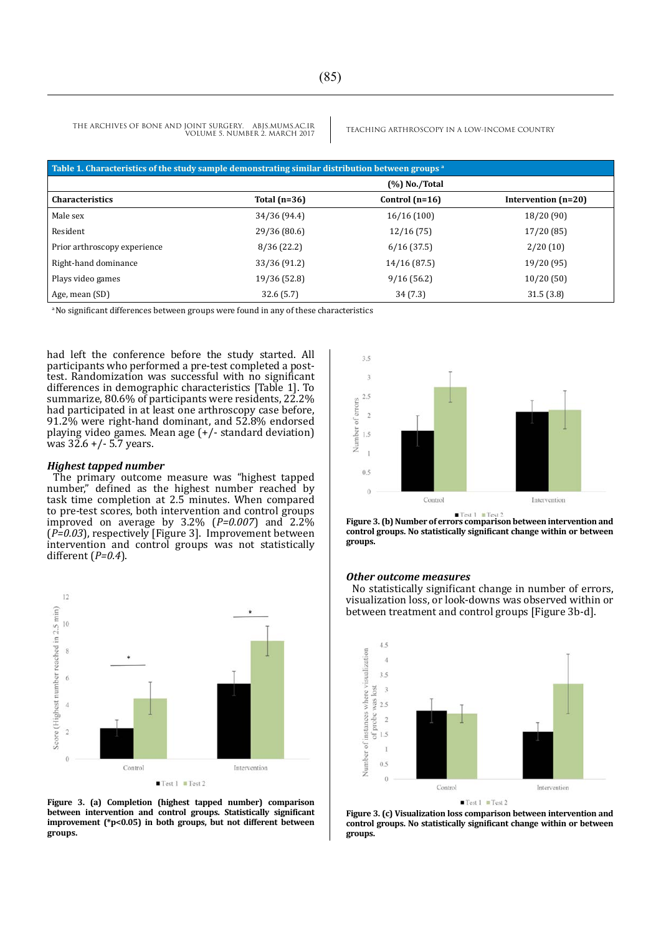THE ARCHIVES OF BONE AND JOINT SURGERY. ABJS.MUMS.AC.IR<br>VOLUME S NUMBER 2 MARCH 2017 VOLUME 5. NUMBER 2. MARCH 2017

| Table 1. Characteristics of the study sample demonstrating similar distribution between groups a |                  |                  |                     |  |
|--------------------------------------------------------------------------------------------------|------------------|------------------|---------------------|--|
|                                                                                                  | $(\%)$ No./Total |                  |                     |  |
| <b>Characteristics</b>                                                                           | Total $(n=36)$   | Control $(n=16)$ | Intervention (n=20) |  |
| Male sex                                                                                         | 34/36 (94.4)     | 16/16(100)       | 18/20(90)           |  |
| Resident                                                                                         | 29/36 (80.6)     | 12/16(75)        | 17/20(85)           |  |
| Prior arthroscopy experience                                                                     | 8/36(22.2)       | 6/16(37.5)       | 2/20(10)            |  |
| Right-hand dominance                                                                             | 33/36 (91.2)     | 14/16 (87.5)     | 19/20 (95)          |  |
| Plays video games                                                                                | 19/36 (52.8)     | 9/16(56.2)       | 10/20(50)           |  |
| Age, mean (SD)                                                                                   | 32.6(5.7)        | 34(7.3)          | 31.5(3.8)           |  |

<sup>a</sup>No significant differences between groups were found in any of these characteristics

had left the conference before the study started. All participants who performed a pre-test completed a posttest. Randomization was successful with no significant differences in demographic characteristics [Table 1]. To summarize, 80.6% of participants were residents, 22.2% had participated in at least one arthroscopy case before, 91.2% were right-hand dominant, and 52.8% endorsed playing video games. Mean age (+/- standard deviation) was  $32.6 + (-5.7)$  years.

#### *Highest tapped number*

The primary outcome measure was "highest tapped number," defined as the highest number reached by task time completion at 2.5 minutes. When compared to pre-test scores, both intervention and control groups improved on average by 3.2% (*P=0.007*) and 2.2% (*P=0.03*), respectively [Figure 3]. Improvement between intervention and control groups was not statistically different (*P=0.4*).



**Figure 3. (a) Completion (highest tapped number) comparison between intervention and control groups. Statistically significant improvement (\*p<0.05) in both groups, but not different between groups.** 



**Figure 3. (b) Number of errors comparison between intervention and control groups. No statistically significant change within or between groups.**

#### *Other outcome measures*

No statistically significant change in number of errors, visualization loss, or look-downs was observed within or between treatment and control groups [Figure 3b-d].



**Figure 3. (c) Visualization loss comparison between intervention and control groups. No statistically significant change within or between groups.**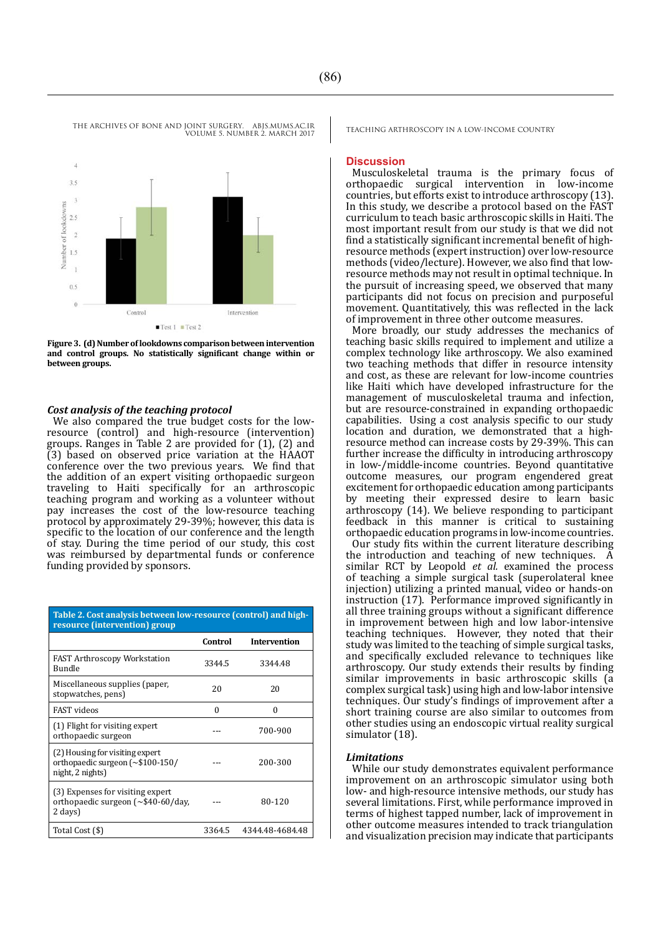

VOLUME 5. NUMBER 2. MARCH 2017

**Figure 3. (d) Number of lookdowns comparison between intervention and control groups. No statistically significant change within or between groups.**

#### *Cost analysis of the teaching protocol*

We also compared the true budget costs for the lowresource (control) and high-resource (intervention) groups. Ranges in Table 2 are provided for (1), (2) and (3) based on observed price variation at the HAAOT conference over the two previous years. We find that the addition of an expert visiting orthopaedic surgeon traveling to Haiti specifically for an arthroscopic teaching program and working as a volunteer without pay increases the cost of the low-resource teaching protocol by approximately 29-39%; however, this data is specific to the location of our conference and the length of stay. During the time period of our study, this cost was reimbursed by departmental funds or conference funding provided by sponsors.

| Table 2. Cost analysis between low-resource (control) and high-<br>resource (intervention) group           |          |                     |  |
|------------------------------------------------------------------------------------------------------------|----------|---------------------|--|
|                                                                                                            | Control  | <b>Intervention</b> |  |
| <b>FAST Arthroscopy Workstation</b><br>Bundle                                                              | 3344.5   | 3344.48             |  |
| Miscellaneous supplies (paper,<br>stopwatches, pens)                                                       | 20       | 20                  |  |
| <b>FAST</b> videos                                                                                         | $\Omega$ | 0                   |  |
| (1) Flight for visiting expert<br>orthopaedic surgeon                                                      |          | 700-900             |  |
| (2) Housing for visiting expert<br>orthopaedic surgeon $\left[\sim 100-150\right]$<br>night, 2 nights)     |          | 200-300             |  |
| (3) Expenses for visiting expert<br>orthopaedic surgeon $\left[\sim 140 - 60/\text{day}\right]$<br>2 days) |          | 80-120              |  |
| Total Cost (\$)                                                                                            | 3364.5   | 4344.48-4684.48     |  |

THE ARCHIVES OF BONE AND JOINT SURGERY. ABJS.MUMS.AC.IR TEACHING ARTHROSCOPY IN A LOW-INCOME COUNTRY

#### **Discussion**

Musculoskeletal trauma is the primary focus of orthopaedic surgical intervention in low-income countries, but efforts exist to introduce arthroscopy (13). In this study, we describe a protocol based on the FAST curriculum to teach basic arthroscopic skills in Haiti. The most important result from our study is that we did not find a statistically significant incremental benefit of highresource methods (expert instruction) over low-resource methods (video/lecture). However, we also find that lowresource methods may not result in optimal technique. In the pursuit of increasing speed, we observed that many participants did not focus on precision and purposeful movement. Quantitatively, this was reflected in the lack of improvement in three other outcome measures.

More broadly, our study addresses the mechanics of teaching basic skills required to implement and utilize a complex technology like arthroscopy. We also examined two teaching methods that differ in resource intensity and cost, as these are relevant for low-income countries like Haiti which have developed infrastructure for the management of musculoskeletal trauma and infection, but are resource-constrained in expanding orthopaedic capabilities. Using a cost analysis specific to our study location and duration, we demonstrated that a highresource method can increase costs by 29-39%. This can further increase the difficulty in introducing arthroscopy in low-/middle-income countries. Beyond quantitative outcome measures, our program engendered great excitement for orthopaedic education among participants by meeting their expressed desire to learn basic arthroscopy (14). We believe responding to participant feedback in this manner is critical to sustaining orthopaedic education programs in low-income countries.

Our study fits within the current literature describing the introduction and teaching of new techniques. A similar RCT by Leopold *et al.* examined the process of teaching a simple surgical task (superolateral knee injection) utilizing a printed manual, video or hands-on instruction (17). Performance improved significantly in all three training groups without a significant difference in improvement between high and low labor-intensive teaching techniques. However, they noted that their study was limited to the teaching of simple surgical tasks, and specifically excluded relevance to techniques like arthroscopy. Our study extends their results by finding similar improvements in basic arthroscopic skills (a complex surgical task) using high and low-labor intensive techniques. Our study's findings of improvement after a short training course are also similar to outcomes from other studies using an endoscopic virtual reality surgical simulator (18).

#### *Limitations*

While our study demonstrates equivalent performance improvement on an arthroscopic simulator using both low- and high-resource intensive methods, our study has several limitations. First, while performance improved in terms of highest tapped number, lack of improvement in other outcome measures intended to track triangulation and visualization precision may indicate that participants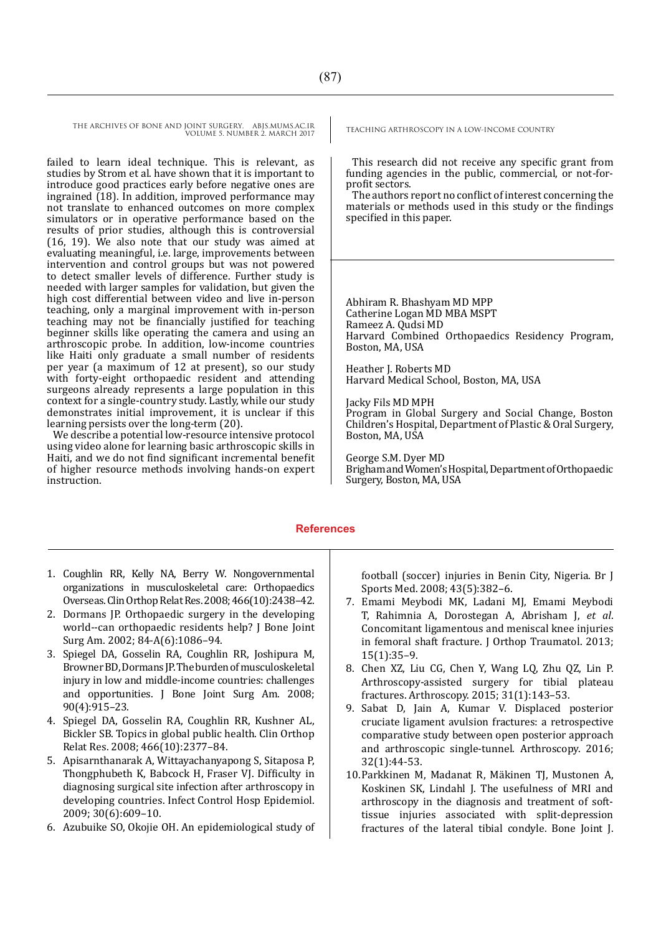THE ARCHIVES OF BONE AND JOINT SURGERY. ABJS.MUMS.AC.IR<br>VOUME S NUMBER 2 MARCH 2017 VOLUME 5. NUMBER 2. MARCH 2017

failed to learn ideal technique. This is relevant, as studies by Strom et al. have shown that it is important to introduce good practices early before negative ones are ingrained (18). In addition, improved performance may not translate to enhanced outcomes on more complex simulators or in operative performance based on the results of prior studies, although this is controversial (16, 19). We also note that our study was aimed at evaluating meaningful, i.e. large, improvements between intervention and control groups but was not powered to detect smaller levels of difference. Further study is needed with larger samples for validation, but given the high cost differential between video and live in-person teaching, only a marginal improvement with in-person teaching may not be financially justified for teaching beginner skills like operating the camera and using an arthroscopic probe. In addition, low-income countries like Haiti only graduate a small number of residents per year (a maximum of 12 at present), so our study with forty-eight orthopaedic resident and attending surgeons already represents a large population in this context for a single-country study. Lastly, while our study demonstrates initial improvement, it is unclear if this learning persists over the long-term (20).

We describe a potential low-resource intensive protocol using video alone for learning basic arthroscopic skills in Haiti, and we do not find significant incremental benefit of higher resource methods involving hands-on expert instruction.

This research did not receive any specific grant from funding agencies in the public, commercial, or not-forprofit sectors.

The authors report no conflict of interest concerning the materials or methods used in this study or the findings specified in this paper.

Abhiram R. Bhashyam MD MPP Catherine Logan MD MBA MSPT Rameez A. Qudsi MD Harvard Combined Orthopaedics Residency Program, Boston, MA, USA

Heather J. Roberts MD Harvard Medical School, Boston, MA, USA

Jacky Fils MD MPH Program in Global Surgery and Social Change, Boston Children's Hospital, Department of Plastic & Oral Surgery, Boston, MA, USA

George S.M. Dyer MD Brigham and Women's Hospital, Department of Orthopaedic Surgery, Boston, MA, USA

#### **References**

- 1. Coughlin RR, Kelly NA, Berry W. Nongovernmental organizations in musculoskeletal care: Orthopaedics Overseas. Clin Orthop Relat Res. 2008; 466(10):2438–42.
- 2. Dormans JP. Orthopaedic surgery in the developing world--can orthopaedic residents help? J Bone Joint Surg Am. 2002; 84-A(6):1086–94.
- 3. Spiegel DA, Gosselin RA, Coughlin RR, Joshipura M, Browner BD, Dormans JP. The burden of musculoskeletal injury in low and middle-income countries: challenges and opportunities. J Bone Joint Surg Am. 2008; 90(4):915–23.
- 4. Spiegel DA, Gosselin RA, Coughlin RR, Kushner AL, Bickler SB. Topics in global public health. Clin Orthop Relat Res. 2008; 466(10):2377–84.
- 5. Apisarnthanarak A, Wittayachanyapong S, Sitaposa P, Thongphubeth K, Babcock H, Fraser VJ. Difficulty in diagnosing surgical site infection after arthroscopy in developing countries. Infect Control Hosp Epidemiol. 2009; 30(6):609–10.
- 6. Azubuike SO, Okojie OH. An epidemiological study of

football (soccer) injuries in Benin City, Nigeria. Br J Sports Med. 2008; 43(5):382–6.

- 7. Emami Meybodi MK, Ladani MJ, Emami Meybodi T, Rahimnia A, Dorostegan A, Abrisham J, *et al*. Concomitant ligamentous and meniscal knee injuries in femoral shaft fracture. J Orthop Traumatol. 2013; 15(1):35–9.
- 8. Chen XZ, Liu CG, Chen Y, Wang LQ, Zhu QZ, Lin P. Arthroscopy-assisted surgery for tibial plateau fractures. Arthroscopy. 2015; 31(1):143–53.
- 9. Sabat D, Jain A, Kumar V. Displaced posterior cruciate ligament avulsion fractures: a retrospective comparative study between open posterior approach and arthroscopic single-tunnel. Arthroscopy. 2016; 32(1):44-53.
- 10.Parkkinen M, Madanat R, Mäkinen TJ, [Mustonen A,](https://www.ncbi.nlm.nih.gov/pubmed/?term=Mustonen%20A%5BAuthor%5D&cauthor=true&cauthor_uid=25452365) [Koskinen SK](https://www.ncbi.nlm.nih.gov/pubmed/?term=Koskinen%20SK%5BAuthor%5D&cauthor=true&cauthor_uid=25452365), [Lindahl J.](https://www.ncbi.nlm.nih.gov/pubmed/?term=Lindahl%20J%5BAuthor%5D&cauthor=true&cauthor_uid=25452365) The usefulness of MRI and arthroscopy in the diagnosis and treatment of softtissue injuries associated with split-depression fractures of the lateral tibial condyle. Bone Joint J.